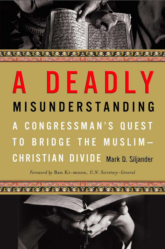# DEADLY A MISUNDERSTANDING A CONGRESSMAN'S QUEST BRIDGE THE MUSLIM-**TO CHRISTIAN DIVIDE Mark D. Siljander**

**OF OF OF OF OF OU** 

**TO TO TO TO TO CALL** 

Foreword by Ban Ki-moon, U.N. Secretary-General

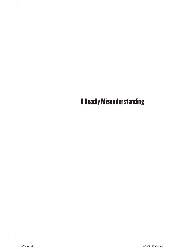### A Deadly Misunderstanding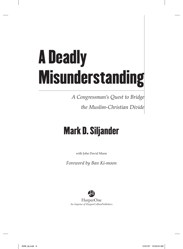# A Deadly **Misunderstanding**

*A Congressman's Quest to Bridge the Muslim-Christian Divide*

# Mark D. Siljander

with John David Mann

*Foreword by Ban Ki-moon* 



HarperOne *An Imprint of* HarperCollins*Publishers*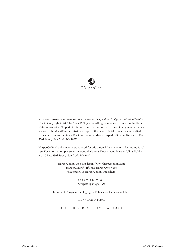

a deadly misunderstanding: *A Congressman's Quest to Bridge the Muslim-Chris tian Divide.* Copyright © 2008 by Mark D. Siljander. All rights reserved. Printed in the United States of America. No part of this book may be used or reproduced in any manner whatsoever without written permission except in the case of brief quotations embodied in critical articles and reviews. For information address HarperCollins Publishers, 10 East 53rd Street, New York, NY 10022.

HarperCollins books may be purchased for educational, business, or sales promotional use. For information please write: Special Markets Department, HarperCollins Publishers, 10 East 53rd Street, New York, NY 10022.

> HarperCollins Web site: http://www.harpercollins.com HarperCollins®, *<sup>th</sup>®*, and HarperOne™ are trademarks of HarperCollins Publishers

> > FIRST EDITION *Designed by Joseph Rutt*

Library of Congress Cataloging-in-Publication Data is available.

isbn: 978–0–06–143828–8

08 09 10 11 12 RRD (H) 10 9 8 7 6 5 4 3 2 1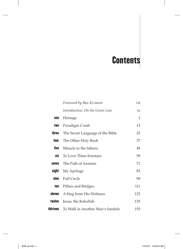## **Contents**

|              | Foreword by Ban Ki-moon          | vii          |
|--------------|----------------------------------|--------------|
|              | Introduction: On the Green Line  | ix           |
| one          | Hostage                          | $\mathbf{1}$ |
| <b>two</b>   | Paradigm Crash                   | 13           |
| three        | The Secret Language of the Bible | 25           |
| four         | The Other Holy Book              | 37           |
| five         | Miracle in the Sahara            | 49           |
| six          | To Love Thine Enemies            | 59           |
| <b>seven</b> | The Path of Ananias              | 71           |
|              | <b>eight</b> My Apology          | 83           |
| nine         | <b>Full Circle</b>               | 99           |
| ten          | Pillars and Bridges              | 111          |
| eleven       | A Hug from His Holiness          | 125          |
| twelve       | Jesus, the Ruhallah              | 135          |
| thirteen     | To Walk in Another Man's Sandals | 155          |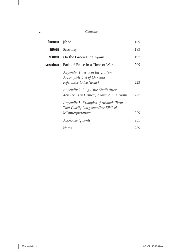vi *Contents*

| fourteen  | <b>Jihad</b>                                                                                              | 169 |
|-----------|-----------------------------------------------------------------------------------------------------------|-----|
| fifteen   | Scrutiny                                                                                                  | 183 |
| sixteen   | On the Green Line Again                                                                                   | 197 |
| seventeen | Path of Peace in a Time of War                                                                            | 209 |
|           | Appendix 1: Jesus in the Qur'an:<br>A Complete List of Qur'anic<br>References to Isa (Jesus)              | 223 |
|           | Appendix 2: Linguistic Similarities:<br>Key Terms in Hebrew, Aramaic, and Arabic                          | 227 |
|           | Appendix 3: Examples of Aramaic Terms<br>That Clarify Long-standing Biblical<br><i>Misinterpretations</i> | 229 |
|           | Acknowledgments                                                                                           | 235 |
|           | Notes                                                                                                     | 239 |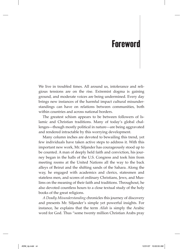### **Foreword**

We live in troubled times. All around us, intolerance and religious tensions are on the rise. Extremist dogma is gaining ground, and moderate voices are being undermined. Every day brings new instances of the harmful impact cultural misunderstandings can have on relations between communities, both within countries and across national borders.

The greatest schism appears to be between followers of Islamic and Christian traditions. Many of today's global challenges—though mostly political in nature—are being aggravated and rendered intractable by this worrying development.

Many column inches are devoted to bewailing this trend, yet few individuals have taken active steps to address it. With this important new work, Mr. Siljander has courageously stood up to be counted. A man of deeply held faith and conviction, his journey began in the halls of the U.S. Congress and took him from meeting rooms at the United Nations all the way to the back alleys of Beirut and the shifting sands of the Sahara. Along the way, he engaged with academics and clerics, statesmen and stateless men, and scores of ordinary Christians, Jews, and Muslims on the meaning of their faith and traditions. Throughout, he also devoted countless hours to a close textual study of the holy books of the great religions.

*A Deadly Misunderstanding* chronicles this journey of discovery and presents Mr. Siljander's simple yet powerful insights. For instance, he explains that the term *Allah* is simply the Arabic word for God. Thus "some twenty million Christian Arabs pray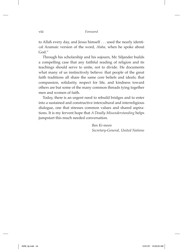to Allah every day, and Jesus himself . . . used the nearly identical Aramaic version of the word, *Alaha,* when he spoke about God."

Through his scholarship and his sojourn, Mr. Siljander builds a compelling case that any faithful reading of religion and its teachings should serve to unite, not to divide. He documents what many of us instinctively believe: that people of the great faith traditions all share the same core beliefs and ideals; that compassion, solidarity, respect for life, and kindness toward others are but some of the many common threads tying together men and women of faith.

Today, there is an urgent need to rebuild bridges and to enter into a sustained and constructive intercultural and interreligious dialogue, one that stresses common values and shared aspirations. It is my fervent hope that *A Deadly Misunderstanding* helps jumpstart this much needed conversation.

> *Ban Ki-moon Secretary-General, United Nations*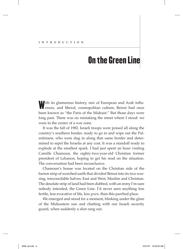### On the Green Line

With its glamorous history, mix of European and Arab influ-<br>ences, and liberal, cosmopolitan culture, Beirut had once been known as "the Paris of the Mideast." But those days were long past. There was no mistaking the street where I stood: we were in the center of a war zone.

It was the fall of 1982. Israeli troops were poised all along the country's southern border, ready to go in and wipe out the Palestinians, who were dug in along that same border and determined to repel the Israelis at any cost. It was a standoff ready to explode at the smallest spark. I had just spent an hour visiting Camille Chamoun, the eighty-two-year-old Christian former president of Lebanon, hoping to get his read on the situation. The conversation had been inconclusive.

Chamoun's house was located on the Christian side of the barren strip of scorched earth that divided Beirut into its two warring, irreconcilable halves: East and West, Muslim and Christian. The desolate strip of land had been dubbed, with an irony I'm sure nobody intended, the Green Line. I'd never seen anything less fertile, less evocative of life, less *green,* than this parched place.

We emerged and stood for a moment, blinking under the glare of the Mideastern sun and chatting with our Israeli security guard, when suddenly a shot rang out.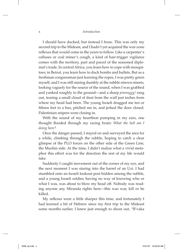#### x *Introduction*

I should have ducked, but instead I froze. This was only my second trip to the Mideast, and I hadn't yet acquired the war-zone reflexes that would come in the years to follow. Like a carpenter's calluses or coal miner's cough, a kind of hair-trigger vigilance comes with the territory, part and parcel of the seasoned diplomat's trade. In central Africa, you learn how to cope with mosquitoes; in Beirut, you learn how to duck bombs and bullets. But as a freshman congressman just learning the ropes, I was pretty green myself, and I was still staring dumbly at the rubble-strewn streets, looking vaguely for the source of the sound, when I was grabbed and yanked roughly to the ground—and a sharp *pinnnggg!* rang out, tearing a small cloud of dust from the wall just inches from where my head had been. The young Israeli dragged me ten or fifteen feet to a bus, pitched me in, and jerked the door closed. Palestinian snipers were closing in.

With the sound of my heartbeat pumping in my ears, one thought flooded through my racing brain: *What the hell am I doing here?*

Once the danger passed, I stayed on and surveyed the area for a while, climbing through the rubble, hoping to catch a clear glimpse of the PLO forces on the other side of the Green Line, the Muslim side. At the time, I didn't realize what a vivid metaphor this effort was for the direction the rest of my life would take.

Suddenly I caught movement out of the corner of my eye, and the next moment I was staring into the barrel of an Uzi. I had stumbled onto an Israeli lookout post hidden among the rubble, and a young Israeli soldier, having no way of knowing who or what I was, was about to blow my head off. Nobody was reading anyone any Miranda rights here—this was war, kill or be killed.

My reflexes were a little sharper this time, and fortunately I had learned a bit of Hebrew since my first trip to the Mideast some months earlier. I knew just enough to shout out, "B'vaka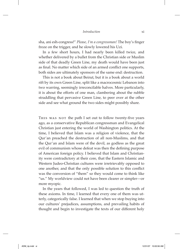#### *Introduction* xi

sha, ani esh-congress!" *Please, I'm a congressman!* The boy's finger froze on the trigger, and he slowly lowered his Uzi.

In a few short hours, I had nearly been killed twice, and whether delivered by a bullet from the Christian side or Muslim side of that deadly Green Line, my death would have been just as final. No matter which side of an armed conflict one supports, both sides are ultimately sponsors of the same end: destruction.

This is not a book about Beirut, but it is a book about a world rift by its own Green Line, split like a macrocosmic Lebanon into two warring, seemingly irreconcilable halves. More particularly, it is about the efforts of one man, clambering about the rubble straddling that pervasive Green Line, to peer over at the other side and see what ground the two sides might possibly share.

THIS WAS NOT the path I set out to follow twenty-five years ago, as a conservative Republican congressman and Evangelical Christian just entering the world of Washington politics. At the time, I believed that Islam was a religion of violence, that the Qur'an preached the destruction of all non-Muslims, and that the Qur'an and Islam were of the devil, as godless as the great evil of communism whose defeat was then the defining purpose of American foreign policy. I believed that Islam and Christianity were contradictory at their core, that the Eastern Islamic and Western Judeo-Christian cultures were irretrievably opposed to one another, and that the only possible solution to this conflict was the conversion of "them" so they would come to think like "us." My worldview could not have been clearer or simpler—or more myopic.

In the years that followed, I was led to question the truth of these axioms. In time, I learned that every one of them was utterly, categorically false. I learned that when we stop buying into our cultures' prejudices, assumptions, and prevailing habits of thought and begin to investigate the texts of our different holy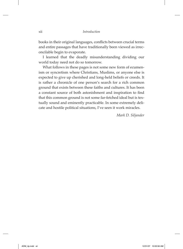books in their original languages, conflicts between crucial terms and entire passages that have traditionally been viewed as irreconcilable begin to evaporate.

I learned that the deadly misunderstanding dividing our world today need not do so tomorrow.

What follows in these pages is not some new form of ecumenism or syncretism where Christians, Muslims, or anyone else is expected to give up cherished and long-held beliefs or creeds. It is rather a chronicle of one person's search for a rich common ground that exists between these faiths and cultures. It has been a constant source of both astonishment and inspiration to find that this common ground is not some far-fetched ideal but is textually sound and eminently practicable. In some extremely delicate and hostile political situations, I've seen it work miracles.

*Mark D. Siljander*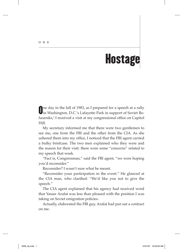**O**ne day in the fall of 1983, as I prepared for a speech at a rally in Washington, D.C.'s Lafayette Park in support of Soviet Rene day in the fall of 1983, as I prepared for a speech at a rally fuseniks,<sup>1</sup> I received a visit at my congressional office on Capitol Hill.

My secretary informed me that there were two gentlemen to see me, one from the FBI and the other from the CIA. As she ushered them into my office, I noticed that the FBI agent carried a bulky briefcase. The two men explained who they were and the reason for their visit: there were some "concerns" related to my speech that week.

"Fact is, Congressman," said the FBI agent, "we were hoping you'd reconsider."

Reconsider? I wasn't sure what he meant.

"Reconsider your participation in the event." He glanced at the CIA man, who clarified: "We'd like you not to give the speech."

The CIA agent explained that his agency had received word that Yasser Arafat was less than pleased with the position I was taking on Soviet emigration policies.

Actually, elaborated the FBI guy, Arafat had put out a contract on me.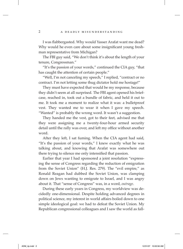I was flabbergasted. Why would Yasser Arafat want me dead? Why would he even care about some insignificant young freshman representative from Michigan?

The FBI guy said, "We don't think it's about the length of your tenure, Congressman."

"It's the passion of your words," continued the CIA guy, "that has caught the attention of certain people."

"Well, I'm not canceling my speech," I replied, "contract or no contract. I'm not letting some thug dictator hold me hostage!"

They must have expected that would be my response, because they didn't seem at all surprised. The FBI agent opened his briefcase, reached in, took out a bundle of fabric, and held it out to me. It took me a moment to realize what it was: a bulletproof vest. They wanted me to wear it when I gave my speech. "Wanted" is probably the wrong word. It wasn't a suggestion.

They handed me the vest, got to their feet, advised me that they were assigning me a twenty-four-hour armed security detail until the rally was over, and left my office without another word.

After they left, I sat fuming. When the CIA agent had said, "It's the passion of your words," I knew exactly what he was talking about, and knowing that Arafat was somewhere out there trying to silence me only intensified that passion.

Earlier that year I had sponsored a joint resolution "expressing the sense of Congress regarding the reduction of emigration from the Soviet Union" (H.J. Res. 279). The "evil empire," as Ronald Reagan had dubbed the Soviet Union, was clamping down on Jews wanting to emigrate to Israel, and I was angry about it. That "sense of Congress" was, in a word, *outrage*.

During these early years in Congress, my worldview was decidedly one-dimensional. Despite holding advanced degrees in political science, my interest in world affairs boiled down to one simple ideological goal: we had to defeat the Soviet Union. My Republican congressional colleagues and I saw the world as fall-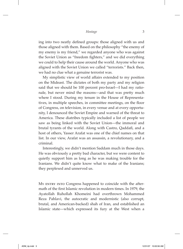ing into two neatly defined groups: those aligned with us and those aligned with them. Based on the philosophy "the enemy of my enemy is my friend," we regarded anyone who was against the Soviet Union as "freedom fighters," and we did everything we could to help their cause around the world. Anyone who was aligned with the Soviet Union we called "terrorists." Back then, we had no clue what a genuine terrorist was.

My simplistic view of world affairs extended to my position on the Mideast. The dictates of both my party and my religion said that we should be 100 percent pro-Israel—I had my rationale, but never mind the reasons—and that was pretty much where I stood. During my tenure in the House of Representatives, in multiple speeches, in committee meetings, on the floor of Congress, on television, in every venue and at every opportunity, I denounced the Soviet Empire and warned of the threat to America. These diatribes typically included a list of people we saw as being linked with the Soviet Union—the immoral and brutal tyrants of the world. Along with Castro, Qaddafi, and a host of others, Yasser Arafat was one of the chief names on that list. In our view, Arafat was an assassin, a revolutionary, and a criminal.

Interestingly, we didn't mention Saddam much in those days. He was obviously a pretty bad character, but we were content to quietly support him as long as he was making trouble for the Iranians. We didn't quite know what to make of the Iranians; they perplexed and unnerved us.

My ENTRY INTO Congress happened to coincide with the aftermath of the first Islamic revolution in modern times. In 1979, the Ayatollah Ruhollah Khomeini had overthrown Mohammed Reza Pahlavi, the autocratic and modernistic (also corrupt, brutal, and American-backed) shah of Iran, and established an Islamic state—which expressed its fury at the West when a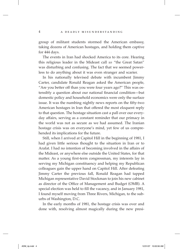group of militant students stormed the American embassy, taking dozens of American hostages, and holding them captive for 444 days.

The events in Iran had shocked America to its core. Hearing this religious leader in the Mideast call *us* "the Great Satan" was disturbing and confusing. The fact that we seemed powerless to do anything about it was even stranger and scarier.

In his nationally televised debate with incumbent Jimmy Carter, candidate Ronald Reagan asked the American people, "Are you better off than you were four years ago?" This was ostensibly a question about our national financial condition—but domestic policy and household economics were only the surface issue. It was the numbing nightly news reports on the fifty-two American hostages in Iran that offered the most eloquent reply to that question. The hostage situation cast a pall over our everyday affairs, serving as a constant reminder that our primacy in the world was not as secure as we had assumed. The Iranian hostage crisis was on everyone's mind, yet few of us comprehended its implications for the future.

Still, when I arrived at Capitol Hill in the beginning of 1981, I had given little serious thought to the situation in Iran or to Arafat. I had no intention of becoming involved in the affairs of the Mideast, or anywhere else outside the United States, for that matter. As a young first-term congressman, my interests lay in serving my Michigan constituency and helping my Republican colleagues gain the upper hand on Capitol Hill. After defeating Jimmy Carter the previous fall, Ronald Reagan had tapped Michigan representative David Stockman to join his new cabinet as director of the Office of Management and Budget (OMB). A special election was held to fill the vacancy, and in January 1981, I found myself moving from Three Rivers, Michigan, to the suburbs of Washington, D.C.

In the early months of 1981, the hostage crisis was over and done with, resolving almost magically during the new presi-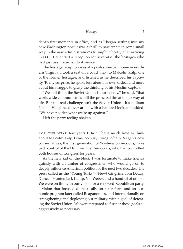dent's first moments in office, and as I began settling into my new Washington post it was a thrill to participate in some small way in the new administration's triumph.<sup>2</sup> Shortly after arriving in D.C., I attended a reception for several of the hostages who had just been returned to America.

The hostage reception was at a posh suburban home in northern Virginia. I took a seat on a couch next to Malcolm Kalp, one of the former hostages, and listened as he described his captivity. To my surprise, he spoke less about his own ordeal and more about his struggle to grasp the thinking of his Muslim captors.

"We still think the Soviet Union is our enemy," he said, "that worldwide communism is still the principal threat to our way of life. But the real challenge isn't the Soviet Union—it's militant Islam." He glanced over at me with a haunted look and added, "We have no idea what we're up against."

I left the party feeling shaken.

FOR THE NEXT few years I didn't have much time to think about Malcolm Kalp. I was too busy trying to help Reagan's new conservatives, the first generation of Washington neocons, $^3$  take back control of the Hill from the Democrats, who had controlled both houses of Congress for years.

As the new kid on the block, I was fortunate to make friends quickly with a number of congressmen who would go on to deeply influence American politics for the next two decades. The press called us the "Young Turks"—Newt Gingrich, Tom DeLay, Duncan Hunter, Jack Kemp, Vin Weber, and a handful of others. We were on fire with our vision for a renewed Republican party, a vision that focused domestically on tax reform and an economic program later called Reaganomics, and internationally on strengthening and deploying our military, with a goal of defeating the Soviet Union. We were prepared to further these goals as aggressively as necessary.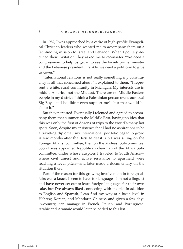In 1982, I was approached by a cadre of high-profile Evangelical Christian leaders who wanted me to accompany them on a fact-finding mission to Israel and Lebanon. When I politely declined their invitation, they asked me to reconsider. "We need a congressman to help us get in to see the Israeli prime minister and the Lebanese president. Frankly, we need a politician to give us cover."

"International relations is not really something my constituency is all that concerned about," I explained to them. "I represent a white, rural community in Michigan. My interests are in middle America, not the Mideast. There are no Middle Eastern people in my district. I think a Palestinian person owns our local Big Boy—and he didn't even support me!—but that would be about it."

But they persisted. Eventually I relented and agreed to accompany them that summer to the Middle East, having no idea that this was only the first of dozens of trips to the world's many hot spots. Soon, despite my insistence that I had no aspirations to be a traveling diplomat, my international portfolio began to grow. A few months after that first Mideast trip I was sitting on the Foreign Affairs Committee, then on the Mideast Subcommittee. Soon I was appointed Republican chairman of the Africa Subcommittee, under whose auspices I traveled to South Africa where civil unrest and active resistance to apartheid were reaching a fever pitch—and later made a documentary on the situation there.

Part of the reason for this growing involvement in foreign affairs was a knack I seem to have for languages. I'm not a linguist and have never set out to learn foreign languages for their own sake, but I've always liked connecting with people. In addition to English and Spanish, I can find my way at a basic level in Hebrew, Korean, and Mandarin Chinese, and given a few days in-country, can manage in French, Italian, and Portuguese. Arabic and Aramaic would later be added to this list.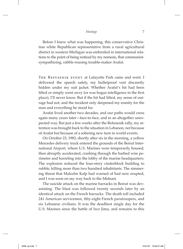Before I knew what was happening, this conservative Christian white Republican representative from a rural agricultural district in western Michigan was embroiled in international relations to the point of being noticed by my nemesis, that communistsympathizing, rabble-rousing trouble-maker Arafat.

THE REFUSENIK EVENT at Lafayette Park came and went. I delivered the speech safely, my bulletproof vest discreetly hidden under my suit jacket. Whether Arafat's hit had been lifted or simply went awry (or was bogus intelligence in the first place), I'll never know. But if the hit had lifted, my sense of outrage had not, and the incident only deepened my enmity for the man and everything he stood for.

Arafat lived another two decades, and our paths would cross again many years later—face-to-face, and in an altogether unexpected way. But just a few weeks after the Refusenik rally, my attention was brought back to the situation in Lebanon, not because of Arafat but because of a sobering new turn in world events.

On October 23, 1983, shortly after six in the morning, a yellow Mercedes delivery truck entered the grounds of the Beirut International Airport, where U.S. Marines were temporarily housed, then abruptly accelerated, crashing through the barbed wire perimeter and barreling into the lobby of the marine headquarters. The explosion reduced the four-story cinderblock building to rubble, killing more than two hundred inhabitants. The simmering threat that Malcolm Kalp had warned of had now erupted, and I was soon on my way back to the Mideast.

The suicide attack on the marine barracks in Beirut was devastating. The blast was followed twenty seconds later by an identical attack on the French barracks. The death toll included 241 American servicemen, fifty-eight French paratroopers, and six Lebanese civilians. It was the deadliest single day for the U.S. Marines since the battle of Iwo Jima, and remains to this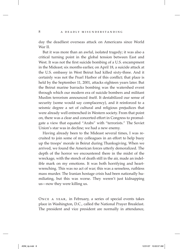day the deadliest overseas attack on Americans since World War II.

But it was more than an awful, isolated tragedy; it was also a critical turning point in the global tension between East and West. It was not the first suicide bombing of a U.S. encampment in the Mideast; six months earlier, on April 18, a suicide attack at the U.S. embassy in West Beirut had killed sixty-three. And it certainly was not the Pearl Harbor of this conflict; that place is held by the September 11, 2001, attacks eighteen years later. But the Beirut marine barracks bombing was the watershed event through which our modern era of suicide bombers and militant Muslim terrorism announced itself. It destabilized our sense of security (some would say complacency), and it reinforced to a seismic degree a set of cultural and religious prejudices that were already well entrenched in Western society. From that point on, there was a clear and concerted effort in Congress to promulgate a view that equated "Arabs" with "terrorists." The Soviet Union's star was in decline; we had a new enemy.

Having already been to the Mideast several times, I was recruited to join some of my colleagues in an effort to help buoy up the troops' morale in Beirut during Thanksgiving. When we arrived, we found the American forces utterly demoralized. The depth of the horror we encountered there in the midst of the wreckage, with the stench of death still in the air, made an indelible mark on my emotions. It was both horrifying and heartwrenching. This was no act of war; this was a senseless, ruthless mass murder. The Iranian hostage crisis had been nationally humiliating, but this was worse. They weren't just kidnapping us—now they were killing us.

Once a year, in February, a series of special events takes place in Washington, D.C., called the National Prayer Breakfast. The president and vice president are normally in attendance,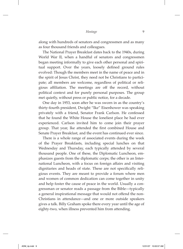along with hundreds of senators and congressmen and as many as four thousand friends and colleagues.

The National Prayer Breakfast dates back to the 1940s, during World War II, when a handful of senators and congressmen began meeting informally to give each other personal and spiritual support. Over the years, loosely defined ground rules evolved: Though the members meet in the name of peace and in the spirit of Jesus Christ, they need not be Christians to participate; all members are welcome, regardless of political or religious affiliation. The meetings are off the record, without political context and for purely personal purposes. The group met quietly, without press or public notice, for a decade.

One day in 1953, soon after he was sworn in as the country's thirty-fourth president, Dwight "Ike" Eisenhower was speaking privately with a friend, Senator Frank Carlson. He confessed that he found the White House the loneliest place he had ever experienced. Carlson invited him to come join their prayer group. That year, Ike attended the first combined House and Senate Prayer Breakfast, and the event has continued ever since.

There is a whole range of associated events during the week of the Prayer Breakfasts, including special lunches on that Wednesday and Thursday, each typically attended by several thousand people. One of these, the Diplomatic Luncheon, emphasizes guests from the diplomatic corps; the other is an International Luncheon, with a focus on foreign affairs and visiting dignitaries and heads of state. These are not specifically religious events. They are meant to provide a forum where men and women of common dedication can come together in unity and help foster the cause of peace in the world. Usually a congressman or senator reads a passage from the Bible—typically a general inspirational message that would not offend the non-Christians in attendance—and one or more outside speakers gives a talk. Billy Graham spoke there every year until the age of eighty-two, when illness prevented him from attending.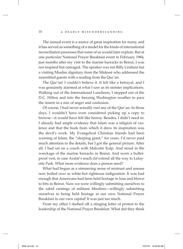The annual event is a source of great inspiration for many, and it has served as something of a model for the kinds of international reconciliation processes that some of us would later explore. But at one particular National Prayer Breakfast event in February 1984, just months after my visit to the marine barracks in Beirut, I was not inspired but outraged. The speaker was not Billy Graham but a visiting Muslim dignitary from the Mideast who addressed the assembled guests with a reading from the Qur'an.

The Qur'an! I couldn't believe it. It felt like a betrayal, and I was genuinely alarmed at what I saw as its sinister implications. Walking out of the International Luncheon, I stepped out of the D.C. Hilton and into the freezing Washington weather to pace the streets in a mix of anger and confusion.

Of course, I had never actually *read* any of the Qur'an. In those days, I wouldn't have even considered picking up a copy to browse—it would have felt like heresy. Besides, I didn't need to: I already had ample evidence that Islam was a religion of violence and that the book from which it drew its inspiration was the devil's work. My Evangelical Christian friends had been warning of Islam, the "sleeping giant," for years. I'd never paid much attention to the details, but I got the general picture. After all, I had sat on a couch with Malcolm Kalp. And stood in the wreckage of the marine barracks in Beirut. And worn a bulletproof vest, in case Arafat's reach *did* extend all the way to Lafayette Park. What more evidence does a person need?

What had begun as a simmering sense of mistrust and unease now boiled over as white-hot righteous indignation. It was bad enough that Americans had been held hostage in Iran and blown to bits in Beirut. Now we were willingly submitting ourselves to the rabid rantings of militant Muslims—willingly submitting ourselves to being held hostage at our own National Prayer Breakfast in our own capital! It was just too much.

From my office I dashed off a stinging letter of protest to the leadership of the National Prayer Breakfast. What did they think